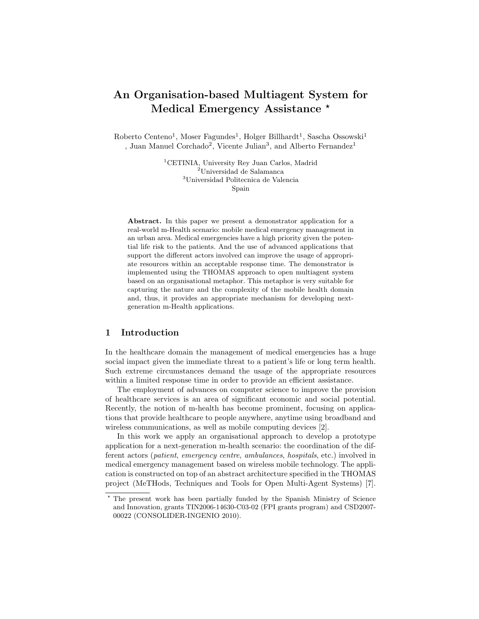# An Organisation-based Multiagent System for Medical Emergency Assistance \*

Roberto Centeno<sup>1</sup>, Moser Fagundes<sup>1</sup>, Holger Billhardt<sup>1</sup>, Sascha Ossowski<sup>1</sup> , Juan Manuel Corchado<sup>2</sup>, Vicente Julian<sup>3</sup>, and Alberto Fernandez<sup>1</sup>

> <sup>1</sup>CETINIA, University Rey Juan Carlos, Madrid <sup>2</sup>Universidad de Salamanca <sup>3</sup>Universidad Politecnica de Valencia Spain

Abstract. In this paper we present a demonstrator application for a real-world m-Health scenario: mobile medical emergency management in an urban area. Medical emergencies have a high priority given the potential life risk to the patients. And the use of advanced applications that support the different actors involved can improve the usage of appropriate resources within an acceptable response time. The demonstrator is implemented using the THOMAS approach to open multiagent system based on an organisational metaphor. This metaphor is very suitable for capturing the nature and the complexity of the mobile health domain and, thus, it provides an appropriate mechanism for developing nextgeneration m-Health applications.

## 1 Introduction

In the healthcare domain the management of medical emergencies has a huge social impact given the immediate threat to a patient's life or long term health. Such extreme circumstances demand the usage of the appropriate resources within a limited response time in order to provide an efficient assistance.

The employment of advances on computer science to improve the provision of healthcare services is an area of significant economic and social potential. Recently, the notion of m-health has become prominent, focusing on applications that provide healthcare to people anywhere, anytime using broadband and wireless communications, as well as mobile computing devices [2].

In this work we apply an organisational approach to develop a prototype application for a next-generation m-health scenario: the coordination of the different actors (patient, emergency centre, ambulances, hospitals, etc.) involved in medical emergency management based on wireless mobile technology. The application is constructed on top of an abstract architecture specified in the THOMAS project (MeTHods, Techniques and Tools for Open Multi-Agent Systems) [7].

<sup>?</sup> The present work has been partially funded by the Spanish Ministry of Science and Innovation, grants TIN2006-14630-C03-02 (FPI grants program) and CSD2007- 00022 (CONSOLIDER-INGENIO 2010).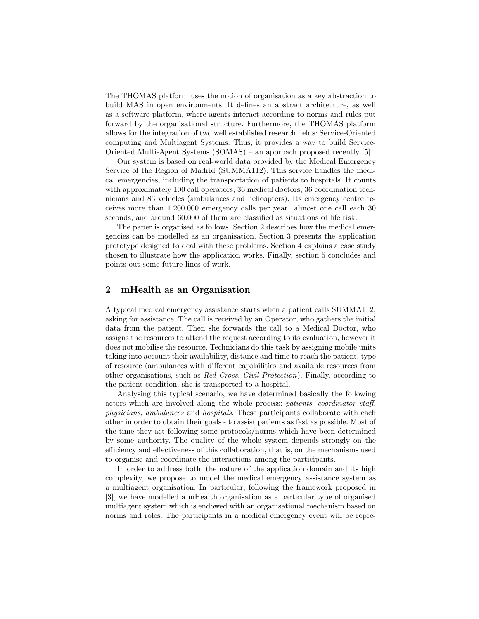The THOMAS platform uses the notion of organisation as a key abstraction to build MAS in open environments. It defines an abstract architecture, as well as a software platform, where agents interact according to norms and rules put forward by the organisational structure. Furthermore, the THOMAS platform allows for the integration of two well established research fields: Service-Oriented computing and Multiagent Systems. Thus, it provides a way to build Service-Oriented Multi-Agent Systems (SOMAS) – an approach proposed recently [5].

Our system is based on real-world data provided by the Medical Emergency Service of the Region of Madrid (SUMMA112). This service handles the medical emergencies, including the transportation of patients to hospitals. It counts with approximately 100 call operators, 36 medical doctors, 36 coordination technicians and 83 vehicles (ambulances and helicopters). Its emergency centre receives more than 1.200.000 emergency calls per year almost one call each 30 seconds, and around 60.000 of them are classified as situations of life risk.

The paper is organised as follows. Section 2 describes how the medical emergencies can be modelled as an organisation. Section 3 presents the application prototype designed to deal with these problems. Section 4 explains a case study chosen to illustrate how the application works. Finally, section 5 concludes and points out some future lines of work.

# 2 mHealth as an Organisation

A typical medical emergency assistance starts when a patient calls SUMMA112, asking for assistance. The call is received by an Operator, who gathers the initial data from the patient. Then she forwards the call to a Medical Doctor, who assigns the resources to attend the request according to its evaluation, however it does not mobilise the resource. Technicians do this task by assigning mobile units taking into account their availability, distance and time to reach the patient, type of resource (ambulances with different capabilities and available resources from other organisations, such as Red Cross, Civil Protection). Finally, according to the patient condition, she is transported to a hospital.

Analysing this typical scenario, we have determined basically the following actors which are involved along the whole process: patients, coordinator staff, physicians, ambulances and hospitals. These participants collaborate with each other in order to obtain their goals - to assist patients as fast as possible. Most of the time they act following some protocols/norms which have been determined by some authority. The quality of the whole system depends strongly on the efficiency and effectiveness of this collaboration, that is, on the mechanisms used to organise and coordinate the interactions among the participants.

In order to address both, the nature of the application domain and its high complexity, we propose to model the medical emergency assistance system as a multiagent organisation. In particular, following the framework proposed in [3], we have modelled a mHealth organisation as a particular type of organised multiagent system which is endowed with an organisational mechanism based on norms and roles. The participants in a medical emergency event will be repre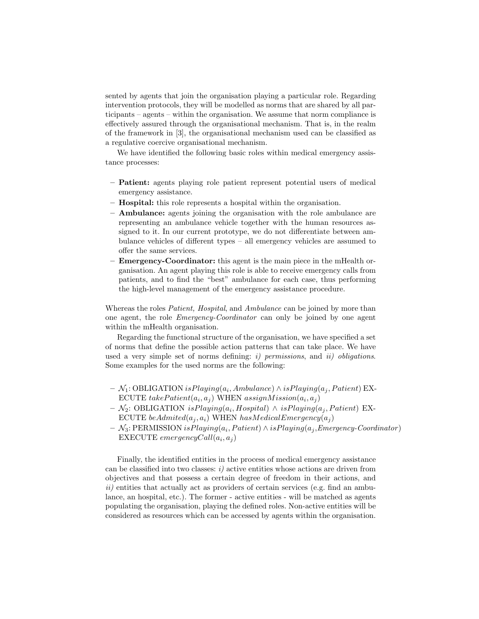sented by agents that join the organisation playing a particular role. Regarding intervention protocols, they will be modelled as norms that are shared by all participants – agents – within the organisation. We assume that norm compliance is effectively assured through the organisational mechanism. That is, in the realm of the framework in [3], the organisational mechanism used can be classified as a regulative coercive organisational mechanism.

We have identified the following basic roles within medical emergency assistance processes:

- Patient: agents playing role patient represent potential users of medical emergency assistance.
- Hospital: this role represents a hospital within the organisation.
- Ambulance: agents joining the organisation with the role ambulance are representing an ambulance vehicle together with the human resources assigned to it. In our current prototype, we do not differentiate between ambulance vehicles of different types – all emergency vehicles are assumed to offer the same services.
- Emergency-Coordinator: this agent is the main piece in the mHealth organisation. An agent playing this role is able to receive emergency calls from patients, and to find the "best" ambulance for each case, thus performing the high-level management of the emergency assistance procedure.

Whereas the roles *Patient*, *Hospital*, and *Ambulance* can be joined by more than one agent, the role Emergency-Coordinator can only be joined by one agent within the mHealth organisation.

Regarding the functional structure of the organisation, we have specified a set of norms that define the possible action patterns that can take place. We have used a very simple set of norms defining:  $i$ ) permissions, and  $ii$ ) obligations. Some examples for the used norms are the following:

- $\mathcal{N}_1$ : OBLIGATION is $Playing(a_i, Ambalance) \wedge isPlaying(a_j, Patient)$  EX-ECUTE  $\mathit{takePattern}(a_i, a_j)$  WHEN  $\mathit{assignMission}(a_i, a_j)$
- $\mathcal{N}_2$ : OBLIGATION is Playing(a<sub>i</sub>, Hospital)  $\wedge$  is Playing(a<sub>j</sub>, Patient) EX-ECUTE beAdmited $(a_i, a_i)$  WHEN hasMedicalEmergency $(a_i)$
- $\mathcal{N}_3$ : PERMISSION is $Playing(a_i, Patient) \wedge isPlaying(a_j, Emergency-Coordinator)$  $\text{EXECUTE}$  emergencyCall $(a_i, a_j)$

Finally, the identified entities in the process of medical emergency assistance can be classified into two classes:  $i$ ) active entities whose actions are driven from objectives and that possess a certain degree of freedom in their actions, and  $ii)$  entities that actually act as providers of certain services (e.g. find an ambulance, an hospital, etc.). The former - active entities - will be matched as agents populating the organisation, playing the defined roles. Non-active entities will be considered as resources which can be accessed by agents within the organisation.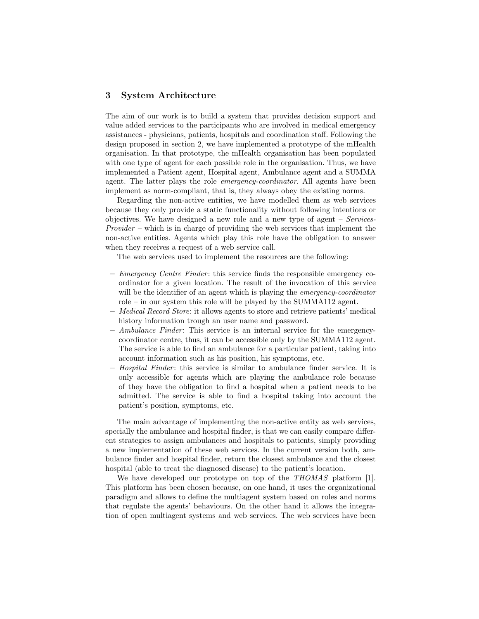# 3 System Architecture

The aim of our work is to build a system that provides decision support and value added services to the participants who are involved in medical emergency assistances - physicians, patients, hospitals and coordination staff. Following the design proposed in section 2, we have implemented a prototype of the mHealth organisation. In that prototype, the mHealth organisation has been populated with one type of agent for each possible role in the organisation. Thus, we have implemented a Patient agent, Hospital agent, Ambulance agent and a SUMMA agent. The latter plays the role *emergency-coordinator*. All agents have been implement as norm-compliant, that is, they always obey the existing norms.

Regarding the non-active entities, we have modelled them as web services because they only provide a static functionality without following intentions or objectives. We have designed a new role and a new type of agent – Services-Provider – which is in charge of providing the web services that implement the non-active entities. Agents which play this role have the obligation to answer when they receives a request of a web service call.

The web services used to implement the resources are the following:

- $-$  *Emergency Centre Finder*: this service finds the responsible emergency coordinator for a given location. The result of the invocation of this service will be the identifier of an agent which is playing the *emergency-coordinator* role – in our system this role will be played by the SUMMA112 agent.
- Medical Record Store: it allows agents to store and retrieve patients' medical history information trough an user name and password.
- $-$  *Ambulance Finder*: This service is an internal service for the emergencycoordinator centre, thus, it can be accessible only by the SUMMA112 agent. The service is able to find an ambulance for a particular patient, taking into account information such as his position, his symptoms, etc.
- Hospital Finder : this service is similar to ambulance finder service. It is only accessible for agents which are playing the ambulance role because of they have the obligation to find a hospital when a patient needs to be admitted. The service is able to find a hospital taking into account the patient's position, symptoms, etc.

The main advantage of implementing the non-active entity as web services, specially the ambulance and hospital finder, is that we can easily compare different strategies to assign ambulances and hospitals to patients, simply providing a new implementation of these web services. In the current version both, ambulance finder and hospital finder, return the closest ambulance and the closest hospital (able to treat the diagnosed disease) to the patient's location.

We have developed our prototype on top of the THOMAS platform [1]. This platform has been chosen because, on one hand, it uses the organizational paradigm and allows to define the multiagent system based on roles and norms that regulate the agents' behaviours. On the other hand it allows the integration of open multiagent systems and web services. The web services have been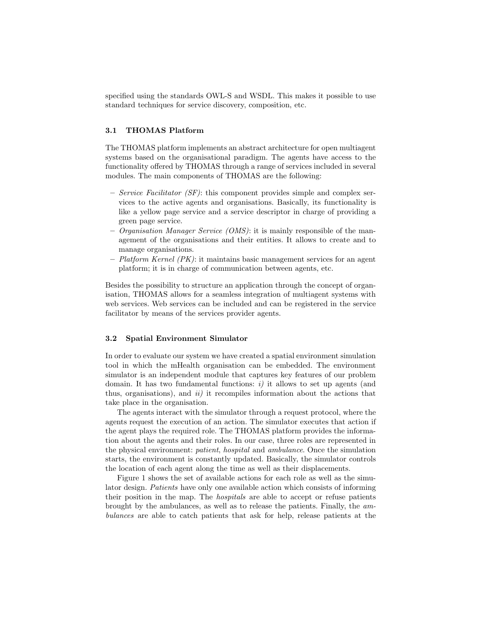specified using the standards OWL-S and WSDL. This makes it possible to use standard techniques for service discovery, composition, etc.

# 3.1 THOMAS Platform

The THOMAS platform implements an abstract architecture for open multiagent systems based on the organisational paradigm. The agents have access to the functionality offered by THOMAS through a range of services included in several modules. The main components of THOMAS are the following:

- Service Facilitator (SF): this component provides simple and complex services to the active agents and organisations. Basically, its functionality is like a yellow page service and a service descriptor in charge of providing a green page service.
- *Organisation Manager Service (OMS)*: it is mainly responsible of the management of the organisations and their entities. It allows to create and to manage organisations.
- $-$  Platform Kernel (PK): it maintains basic management services for an agent platform; it is in charge of communication between agents, etc.

Besides the possibility to structure an application through the concept of organisation, THOMAS allows for a seamless integration of multiagent systems with web services. Web services can be included and can be registered in the service facilitator by means of the services provider agents.

#### 3.2 Spatial Environment Simulator

In order to evaluate our system we have created a spatial environment simulation tool in which the mHealth organisation can be embedded. The environment simulator is an independent module that captures key features of our problem domain. It has two fundamental functions:  $i$ ) it allows to set up agents (and thus, organisations), and  $ii$ ) it recompiles information about the actions that take place in the organisation.

The agents interact with the simulator through a request protocol, where the agents request the execution of an action. The simulator executes that action if the agent plays the required role. The THOMAS platform provides the information about the agents and their roles. In our case, three roles are represented in the physical environment: patient, hospital and ambulance. Once the simulation starts, the environment is constantly updated. Basically, the simulator controls the location of each agent along the time as well as their displacements.

Figure 1 shows the set of available actions for each role as well as the simulator design. Patients have only one available action which consists of informing their position in the map. The hospitals are able to accept or refuse patients brought by the ambulances, as well as to release the patients. Finally, the ambulances are able to catch patients that ask for help, release patients at the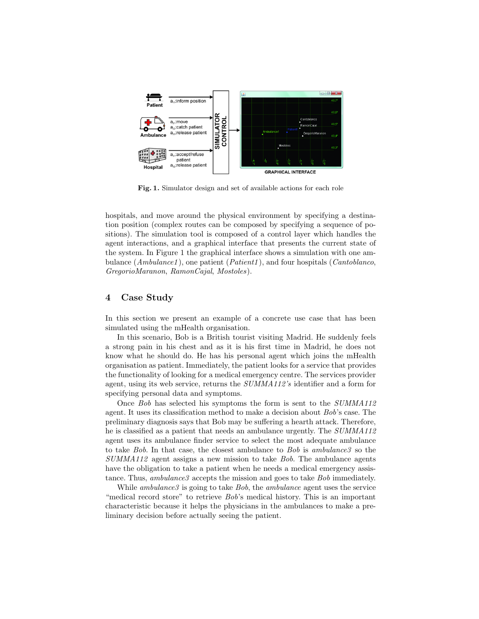

Fig. 1. Simulator design and set of available actions for each role

hospitals, and move around the physical environment by specifying a destination position (complex routes can be composed by specifying a sequence of positions). The simulation tool is composed of a control layer which handles the agent interactions, and a graphical interface that presents the current state of the system. In Figure 1 the graphical interface shows a simulation with one ambulance  $(Ambulance1)$ , one patient  $(Patient1)$ , and four hospitals  $(Cantoblanco,$ GregorioMaranon, RamonCajal, Mostoles).

## 4 Case Study

In this section we present an example of a concrete use case that has been simulated using the mHealth organisation.

In this scenario, Bob is a British tourist visiting Madrid. He suddenly feels a strong pain in his chest and as it is his first time in Madrid, he does not know what he should do. He has his personal agent which joins the mHealth organisation as patient. Immediately, the patient looks for a service that provides the functionality of looking for a medical emergency centre. The services provider agent, using its web service, returns the SUMMA112's identifier and a form for specifying personal data and symptoms.

Once Bob has selected his symptoms the form is sent to the SUMMA112 agent. It uses its classification method to make a decision about Bob's case. The preliminary diagnosis says that Bob may be suffering a hearth attack. Therefore, he is classified as a patient that needs an ambulance urgently. The SUMMA112 agent uses its ambulance finder service to select the most adequate ambulance to take Bob. In that case, the closest ambulance to Bob is ambulance3 so the  $SUMMA112$  agent assigns a new mission to take Bob. The ambulance agents have the obligation to take a patient when he needs a medical emergency assistance. Thus, *ambulance3* accepts the mission and goes to take Bob immediately.

While *ambulance3* is going to take  $Bob$ , the *ambulance* agent uses the service "medical record store" to retrieve Bob's medical history. This is an important characteristic because it helps the physicians in the ambulances to make a preliminary decision before actually seeing the patient.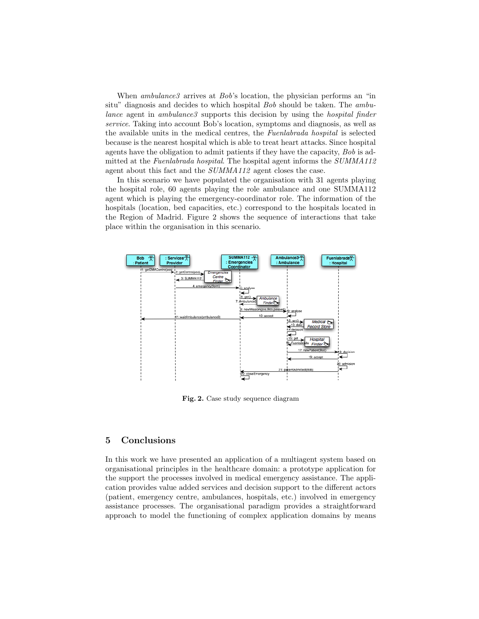When *ambulance3* arrives at *Bob*'s location, the physician performs an "in situ" diagnosis and decides to which hospital Bob should be taken. The *ambu*lance agent in ambulance 3 supports this decision by using the *hospital finder* service. Taking into account Bob's location, symptoms and diagnosis, as well as the available units in the medical centres, the Fuenlabrada hospital is selected because is the nearest hospital which is able to treat heart attacks. Since hospital agents have the obligation to admit patients if they have the capacity, Bob is admitted at the Fuenlabrada hospital. The hospital agent informs the SUMMA112 agent about this fact and the SUMMA112 agent closes the case.

In this scenario we have populated the organisation with 31 agents playing the hospital role, 60 agents playing the role ambulance and one SUMMA112 agent which is playing the emergency-coordinator role. The information of the hospitals (location, bed capacities, etc.) correspond to the hospitals located in the Region of Madrid. Figure 2 shows the sequence of interactions that take place within the organisation in this scenario.



Fig. 2. Case study sequence diagram

## 5 Conclusions

In this work we have presented an application of a multiagent system based on organisational principles in the healthcare domain: a prototype application for the support the processes involved in medical emergency assistance. The application provides value added services and decision support to the different actors (patient, emergency centre, ambulances, hospitals, etc.) involved in emergency assistance processes. The organisational paradigm provides a straightforward approach to model the functioning of complex application domains by means